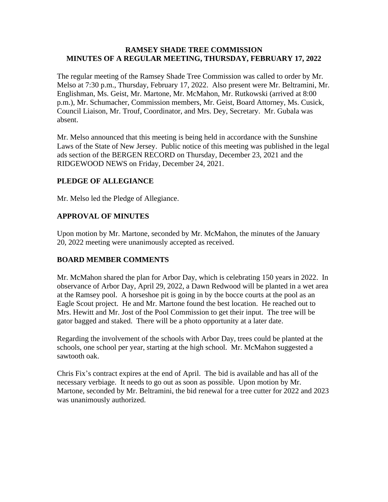## **RAMSEY SHADE TREE COMMISSION MINUTES OF A REGULAR MEETING, THURSDAY, FEBRUARY 17, 2022**

The regular meeting of the Ramsey Shade Tree Commission was called to order by Mr. Melso at 7:30 p.m., Thursday, February 17, 2022. Also present were Mr. Beltramini, Mr. Englishman, Ms. Geist, Mr. Martone, Mr. McMahon, Mr. Rutkowski (arrived at 8:00 p.m.), Mr. Schumacher, Commission members, Mr. Geist, Board Attorney, Ms. Cusick, Council Liaison, Mr. Trouf, Coordinator, and Mrs. Dey, Secretary. Mr. Gubala was absent.

Mr. Melso announced that this meeting is being held in accordance with the Sunshine Laws of the State of New Jersey. Public notice of this meeting was published in the legal ads section of the BERGEN RECORD on Thursday, December 23, 2021 and the RIDGEWOOD NEWS on Friday, December 24, 2021.

# **PLEDGE OF ALLEGIANCE**

Mr. Melso led the Pledge of Allegiance.

## **APPROVAL OF MINUTES**

Upon motion by Mr. Martone, seconded by Mr. McMahon, the minutes of the January 20, 2022 meeting were unanimously accepted as received.

# **BOARD MEMBER COMMENTS**

Mr. McMahon shared the plan for Arbor Day, which is celebrating 150 years in 2022. In observance of Arbor Day, April 29, 2022, a Dawn Redwood will be planted in a wet area at the Ramsey pool. A horseshoe pit is going in by the bocce courts at the pool as an Eagle Scout project. He and Mr. Martone found the best location. He reached out to Mrs. Hewitt and Mr. Jost of the Pool Commission to get their input. The tree will be gator bagged and staked. There will be a photo opportunity at a later date.

Regarding the involvement of the schools with Arbor Day, trees could be planted at the schools, one school per year, starting at the high school. Mr. McMahon suggested a sawtooth oak.

Chris Fix's contract expires at the end of April. The bid is available and has all of the necessary verbiage. It needs to go out as soon as possible. Upon motion by Mr. Martone, seconded by Mr. Beltramini, the bid renewal for a tree cutter for 2022 and 2023 was unanimously authorized.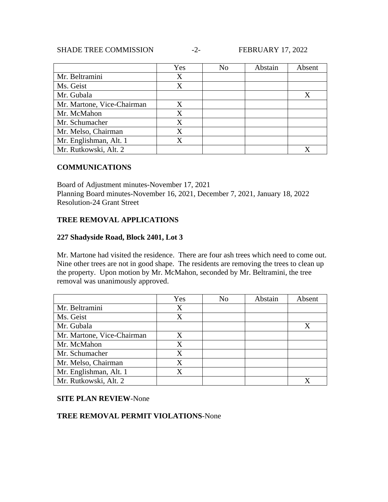### SHADE TREE COMMISSION -2- FEBRUARY 17, 2022

|                            | Yes | No | Abstain | Absent |
|----------------------------|-----|----|---------|--------|
| Mr. Beltramini             | X   |    |         |        |
| Ms. Geist                  | X   |    |         |        |
| Mr. Gubala                 |     |    |         |        |
| Mr. Martone, Vice-Chairman | X   |    |         |        |
| Mr. McMahon                | X   |    |         |        |
| Mr. Schumacher             | X   |    |         |        |
| Mr. Melso, Chairman        | X   |    |         |        |
| Mr. Englishman, Alt. 1     | Χ   |    |         |        |
| Mr. Rutkowski, Alt. 2      |     |    |         |        |

## **COMMUNICATIONS**

Board of Adjustment minutes-November 17, 2021 Planning Board minutes-November 16, 2021, December 7, 2021, January 18, 2022 Resolution-24 Grant Street

## **TREE REMOVAL APPLICATIONS**

#### **227 Shadyside Road, Block 2401, Lot 3**

Mr. Martone had visited the residence. There are four ash trees which need to come out. Nine other trees are not in good shape. The residents are removing the trees to clean up the property. Upon motion by Mr. McMahon, seconded by Mr. Beltramini, the tree removal was unanimously approved.

|                            | Yes | N <sub>0</sub> | Abstain | Absent |
|----------------------------|-----|----------------|---------|--------|
| Mr. Beltramini             | X   |                |         |        |
| Ms. Geist                  | X   |                |         |        |
| Mr. Gubala                 |     |                |         |        |
| Mr. Martone, Vice-Chairman | X   |                |         |        |
| Mr. McMahon                | X   |                |         |        |
| Mr. Schumacher             | X   |                |         |        |
| Mr. Melso, Chairman        | X   |                |         |        |
| Mr. Englishman, Alt. 1     | X   |                |         |        |
| Mr. Rutkowski, Alt. 2      |     |                |         |        |

## **SITE PLAN REVIEW**-None

# **TREE REMOVAL PERMIT VIOLATIONS**-None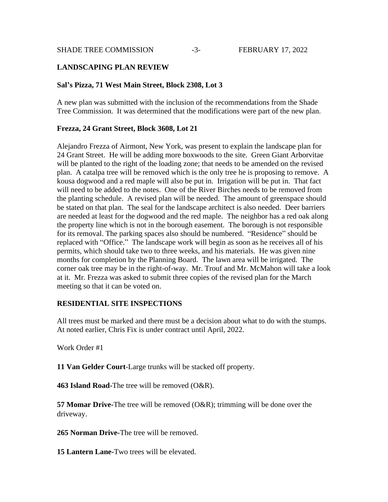SHADE TREE COMMISSION  $-3$ - FEBRUARY 17, 2022

## **LANDSCAPING PLAN REVIEW**

#### **Sal's Pizza, 71 West Main Street, Block 2308, Lot 3**

A new plan was submitted with the inclusion of the recommendations from the Shade Tree Commission. It was determined that the modifications were part of the new plan.

#### **Frezza, 24 Grant Street, Block 3608, Lot 21**

Alejandro Frezza of Airmont, New York, was present to explain the landscape plan for 24 Grant Street. He will be adding more boxwoods to the site. Green Giant Arborvitae will be planted to the right of the loading zone; that needs to be amended on the revised plan. A catalpa tree will be removed which is the only tree he is proposing to remove. A kousa dogwood and a red maple will also be put in. Irrigation will be put in. That fact will need to be added to the notes. One of the River Birches needs to be removed from the planting schedule. A revised plan will be needed. The amount of greenspace should be stated on that plan. The seal for the landscape architect is also needed. Deer barriers are needed at least for the dogwood and the red maple. The neighbor has a red oak along the property line which is not in the borough easement. The borough is not responsible for its removal. The parking spaces also should be numbered. "Residence" should be replaced with "Office." The landscape work will begin as soon as he receives all of his permits, which should take two to three weeks, and his materials. He was given nine months for completion by the Planning Board. The lawn area will be irrigated. The corner oak tree may be in the right-of-way. Mr. Trouf and Mr. McMahon will take a look at it. Mr. Frezza was asked to submit three copies of the revised plan for the March meeting so that it can be voted on.

## **RESIDENTIAL SITE INSPECTIONS**

All trees must be marked and there must be a decision about what to do with the stumps. At noted earlier, Chris Fix is under contract until April, 2022.

Work Order #1

**11 Van Gelder Court**-Large trunks will be stacked off property.

**463 Island Road-**The tree will be removed (O&R).

**57 Momar Drive-**The tree will be removed (O&R); trimming will be done over the driveway.

**265 Norman Drive-**The tree will be removed.

**15 Lantern Lane-**Two trees will be elevated.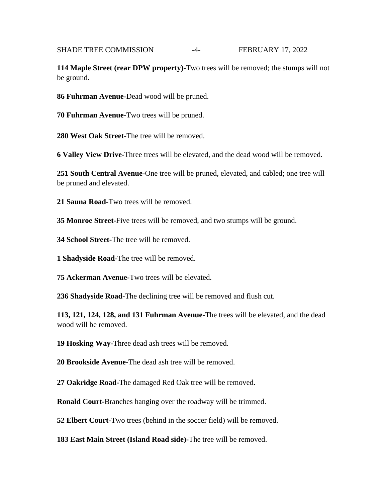## SHADE TREE COMMISSION -4-<br>FEBRUARY 17, 2022

**114 Maple Street (rear DPW property)-**Two trees will be removed; the stumps will not be ground.

**86 Fuhrman Avenue-**Dead wood will be pruned.

**70 Fuhrman Avenue-**Two trees will be pruned.

**280 West Oak Street-**The tree will be removed.

**6 Valley View Drive-**Three trees will be elevated, and the dead wood will be removed.

**251 South Central Avenue-**One tree will be pruned, elevated, and cabled; one tree will be pruned and elevated.

**21 Sauna Road-**Two trees will be removed.

**35 Monroe Street-**Five trees will be removed, and two stumps will be ground.

**34 School Street-**The tree will be removed.

**1 Shadyside Road-**The tree will be removed.

**75 Ackerman Avenue-**Two trees will be elevated.

**236 Shadyside Road-**The declining tree will be removed and flush cut.

**113, 121, 124, 128, and 131 Fuhrman Avenue-**The trees will be elevated, and the dead wood will be removed.

**19 Hosking Way-**Three dead ash trees will be removed.

**20 Brookside Avenue-**The dead ash tree will be removed.

**27 Oakridge Road-**The damaged Red Oak tree will be removed.

**Ronald Court-**Branches hanging over the roadway will be trimmed.

**52 Elbert Court-**Two trees (behind in the soccer field) will be removed.

**183 East Main Street (Island Road side)-**The tree will be removed.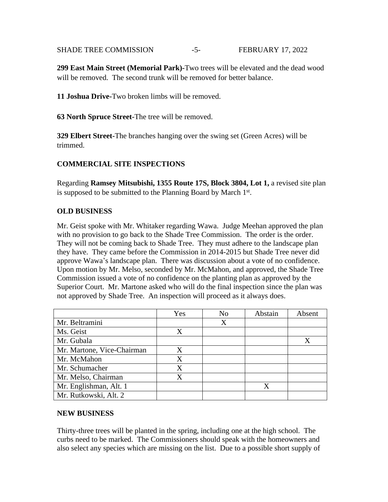### SHADE TREE COMMISSION  $-5$ - FEBRUARY 17, 2022

**299 East Main Street (Memorial Park)-**Two trees will be elevated and the dead wood will be removed. The second trunk will be removed for better balance.

**11 Joshua Drive-**Two broken limbs will be removed.

**63 North Spruce Street-**The tree will be removed.

**329 Elbert Street-**The branches hanging over the swing set (Green Acres) will be trimmed.

# **COMMERCIAL SITE INSPECTIONS**

Regarding **Ramsey Mitsubishi, 1355 Route 17S, Block 3804, Lot 1,** a revised site plan is supposed to be submitted to the Planning Board by March 1st.

## **OLD BUSINESS**

Mr. Geist spoke with Mr. Whitaker regarding Wawa. Judge Meehan approved the plan with no provision to go back to the Shade Tree Commission. The order is the order. They will not be coming back to Shade Tree. They must adhere to the landscape plan they have. They came before the Commission in 2014-2015 but Shade Tree never did approve Wawa's landscape plan. There was discussion about a vote of no confidence. Upon motion by Mr. Melso, seconded by Mr. McMahon, and approved, the Shade Tree Commission issued a vote of no confidence on the planting plan as approved by the Superior Court. Mr. Martone asked who will do the final inspection since the plan was not approved by Shade Tree. An inspection will proceed as it always does.

|                            | Yes               | N <sub>0</sub> | Abstain | Absent |
|----------------------------|-------------------|----------------|---------|--------|
| Mr. Beltramini             |                   | X              |         |        |
| Ms. Geist                  | Χ                 |                |         |        |
| Mr. Gubala                 |                   |                |         |        |
| Mr. Martone, Vice-Chairman | X                 |                |         |        |
| Mr. McMahon                | X                 |                |         |        |
| Mr. Schumacher             | Χ                 |                |         |        |
| Mr. Melso, Chairman        | $\rm\overline{X}$ |                |         |        |
| Mr. Englishman, Alt. 1     |                   |                | Χ       |        |
| Mr. Rutkowski, Alt. 2      |                   |                |         |        |

## **NEW BUSINESS**

Thirty-three trees will be planted in the spring, including one at the high school. The curbs need to be marked. The Commissioners should speak with the homeowners and also select any species which are missing on the list. Due to a possible short supply of